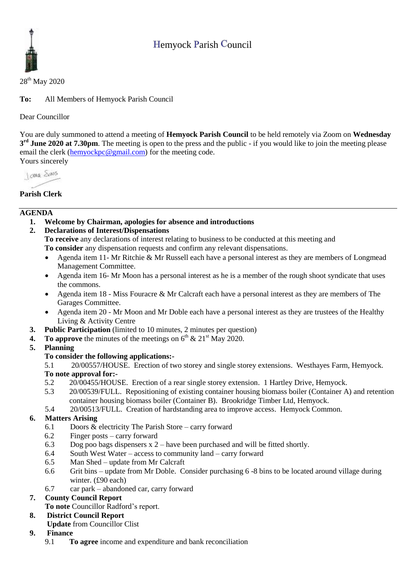# Hemyock Parish Council



28<sup>th</sup> May 2020

**To:** All Members of Hemyock Parish Council

Dear Councillor

You are duly summoned to attend a meeting of **Hemyock Parish Council** to be held remotely via Zoom on **Wednesday 3 rd June 2020 at 7.30pm**. The meeting is open to the press and the public - if you would like to join the meeting please email the clerk [\(hemyockpc@gmail.com\)](mailto:hemyockpc@gmail.com) for the meeting code. Yours sincerely

I awa Shans

# **Parish Clerk**

## **AGENDA**

- **1. Welcome by Chairman, apologies for absence and introductions**
- **2. Declarations of Interest/Dispensations**

**To receive** any declarations of interest relating to business to be conducted at this meeting and **To consider** any dispensation requests and confirm any relevant dispensations.

- Agenda item 11- Mr Ritchie & Mr Russell each have a personal interest as they are members of Longmead Management Committee.
- Agenda item 16- Mr Moon has a personal interest as he is a member of the rough shoot syndicate that uses the commons.
- Agenda item 18 Miss Fouracre & Mr Calcraft each have a personal interest as they are members of The Garages Committee.
- Agenda item 20 Mr Moon and Mr Doble each have a personal interest as they are trustees of the Healthy Living & Activity Centre
- **3. Public Participation** (limited to 10 minutes, 2 minutes per question)
- **4.** To approve the minutes of the meetings on  $6<sup>th</sup>$  &  $21<sup>st</sup>$  May 2020.
- **5. Planning**

# **To consider the following applications:-**

5.1 20/00557/HOUSE. Erection of two storey and single storey extensions. Westhayes Farm, Hemyock.

#### **To note approval for:-**

- 5.2 20/00455/HOUSE. Erection of a rear single storey extension. 1 Hartley Drive, Hemyock.
- 5.3 20/00539/FULL. Repositioning of existing container housing biomass boiler (Container A) and retention container housing biomass boiler (Container B). Brookridge Timber Ltd, Hemyock.
- 5.4 20/00513/FULL. Creation of hardstanding area to improve access. Hemyock Common.

# **6. Matters Arising**

- 6.1 Doors & electricity The Parish Store carry forward
- 6.2 Finger posts carry forward
- 6.3 Dog poo bags dispensers x 2 have been purchased and will be fitted shortly.
- 6.4 South West Water access to community land carry forward
- 6.5 Man Shed update from Mr Calcraft
- 6.6 Grit bins update from Mr Doble. Consider purchasing 6 -8 bins to be located around village during winter. (£90 each)
- 6.7 car park abandoned car, carry forward

# **7. County Council Report**

**To note** Councillor Radford's report.

# **8. District Council Report**

**Update** from Councillor Clist

# **9. Finance**

9.1 **To agree** income and expenditure and bank reconciliation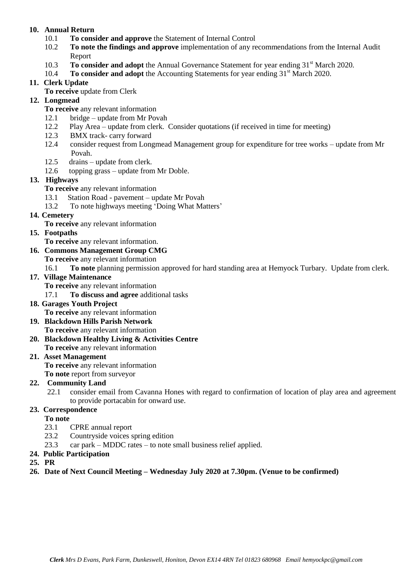## **10. Annual Return**

- 10.1 **To consider and approve** the Statement of Internal Control
- 10.2 **To note the findings and approve** implementation of any recommendations from the Internal Audit Report
- 10.3 **To consider and adopt** the Annual Governance Statement for year ending 31<sup>st</sup> March 2020.
- 10.4 **To consider and adopt** the Accounting Statements for year ending 31<sup>st</sup> March 2020.

## **11. Clerk Update**

**To receive** update from Clerk

# **12. Longmead**

- **To receive** any relevant information
- 12.1 bridge update from Mr Povah
- 12.2 Play Area update from clerk. Consider quotations (if received in time for meeting)
- 12.3 BMX track- carry forward
- 12.4 consider request from Longmead Management group for expenditure for tree works update from Mr Povah.
- 12.5 drains update from clerk.
- 12.6 topping grass update from Mr Doble.

#### **13. Highways**

- **To receive** any relevant information
- 13.1 Station Road pavement update Mr Povah
- 13.2 To note highways meeting 'Doing What Matters'

#### **14. Cemetery**

**To receive** any relevant information

#### **15. Footpaths**

**To receive** any relevant information.

# **16. Commons Management Group CMG**

**To receive** any relevant information

16.1 **To note** planning permission approved for hard standing area at Hemyock Turbary. Update from clerk.

#### **17. Village Maintenance**

**To receive** any relevant information

17.1 **To discuss and agree** additional tasks

#### **18. Garages Youth Project**

**To receive** any relevant information

- **19. Blackdown Hills Parish Network To receive** any relevant information
- **20. Blackdown Healthy Living & Activities Centre**

**To receive** any relevant information

#### **21. Asset Management**

**To receive** any relevant information

**To note** report from surveyor

#### **22. Community Land**

22.1 consider email from Cavanna Hones with regard to confirmation of location of play area and agreement to provide portacabin for onward use.

## **23. Correspondence**

**To note**

- 23.1 CPRE annual report
- 23.2 Countryside voices spring edition
- 23.3 car park MDDC rates to note small business relief applied.
- **24. Public Participation**

#### **25. PR**

**26. Date of Next Council Meeting – Wednesday July 2020 at 7.30pm. (Venue to be confirmed)**